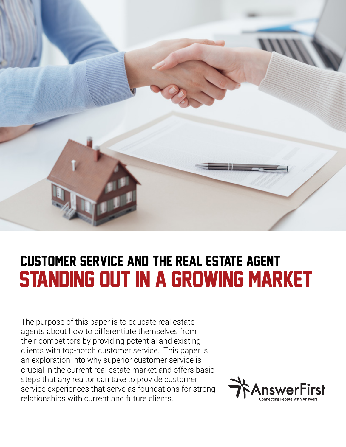

# standing out in a growing market Customer Service and the Real Estate Agent

The purpose of this paper is to educate real estate agents about how to differentiate themselves from their competitors by providing potential and existing clients with top-notch customer service. This paper is an exploration into why superior customer service is crucial in the current real estate market and offers basic steps that any realtor can take to provide customer service experiences that serve as foundations for strong relationships with current and future clients.

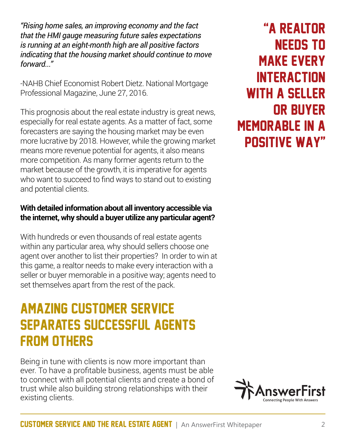*"Rising home sales, an improving economy and the fact that the HMI gauge measuring future sales expectations is running at an eight-month high are all positive factors indicating that the housing market should continue to move forward..."* 

-NAHB Chief Economist Robert Dietz. National Mortgage Professional Magazine, June 27, 2016.

This prognosis about the real estate industry is great news, especially for real estate agents. As a matter of fact, some forecasters are saying the housing market may be even more lucrative by 2018. However, while the growing market means more revenue potential for agents, it also means more competition. As many former agents return to the market because of the growth, it is imperative for agents who want to succeed to find ways to stand out to existing and potential clients.

#### **With detailed information about all inventory accessible via the internet, why should a buyer utilize any particular agent?**

With hundreds or even thousands of real estate agents within any particular area, why should sellers choose one agent over another to list their properties? In order to win at this game, a realtor needs to make every interaction with a seller or buyer memorable in a positive way; agents need to set themselves apart from the rest of the pack.

### amazing customer service separates successful agents from others

Being in tune with clients is now more important than ever. To have a profitable business, agents must be able to connect with all potential clients and create a bond of trust while also building strong relationships with their existing clients.

"a realtor needs to make every **INTERACTION** with a seller or buyer memorable in a positive way"

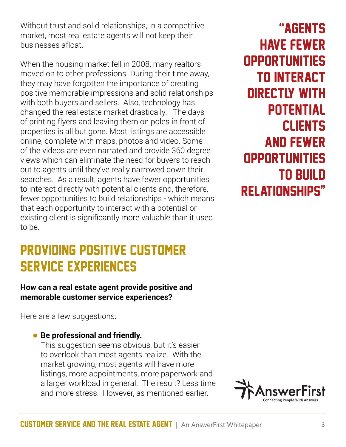Without trust and solid relationships, in a competitive market, most real estate agents will not keep their businesses afloat.

When the housing market fell in 2008, many realtors moved on to other professions. During their time away, they may have forgotten the importance of creating positive memorable impressions and solid relationships with both buyers and sellers. Also, technology has changed the real estate market drastically. The days of printing flyers and leaving them on poles in front of properties is all but gone. Most listings are accessible online, complete with maps, photos and video. Some of the videos are even narrated and provide 360 degree views which can eliminate the need for buyers to reach out to agents until they've really narrowed down their searches. As a result, agents have fewer opportunities to interact directly with potential clients and, therefore, fewer opportunities to build relationships - which means that each opportunity to interact with a potential or existing client is significantly more valuable than it used to be.

### providing positive customer service experiences

#### **How can a real estate agent provide positive and memorable customer service experiences?**

Here are a few suggestions:

### • **Be professional and friendly.**

This suggestion seems obvious, but it's easier to overlook than most agents realize. With the market growing, most agents will have more listings, more appointments, more paperwork and a larger workload in general. The result? Less time and more stress. However, as mentioned earlier,

"AGENTS HAVE FEWER **OPPORTUNITIES** TO INTERACT DIRECTLY WITH POTENTIAL CLIENTS AND FEWER **OPPORTUNITIES** TO BUILD RELATIONSHIPS"

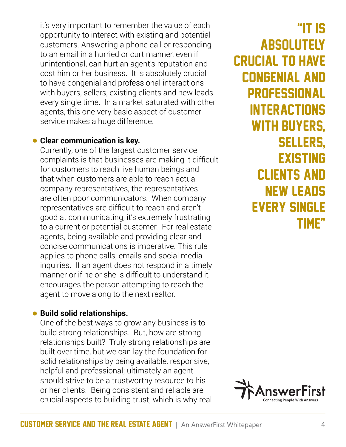it's very important to remember the value of each opportunity to interact with existing and potential customers. Answering a phone call or responding to an email in a hurried or curt manner, even if unintentional, can hurt an agent's reputation and cost him or her business. It is absolutely crucial to have congenial and professional interactions with buyers, sellers, existing clients and new leads every single time. In a market saturated with other agents, this one very basic aspect of customer service makes a huge difference.

#### • **Clear communication is key.**

Currently, one of the largest customer service complaints is that businesses are making it difficult for customers to reach live human beings and that when customers are able to reach actual company representatives, the representatives are often poor communicators. When company representatives are difficult to reach and aren't good at communicating, it's extremely frustrating to a current or potential customer. For real estate agents, being available and providing clear and concise communications is imperative. This rule applies to phone calls, emails and social media inquiries. If an agent does not respond in a timely manner or if he or she is difficult to understand it encourages the person attempting to reach the agent to move along to the next realtor.

#### • **Build solid relationships.**

One of the best ways to grow any business is to build strong relationships. But, how are strong relationships built? Truly strong relationships are built over time, but we can lay the foundation for solid relationships by being available, responsive, helpful and professional; ultimately an agent should strive to be a trustworthy resource to his or her clients. Being consistent and reliable are crucial aspects to building trust, which is why real

"IT IS ABSOLUTELY CRUCIAL TO HAVE CONGENIAL AND PROFESSIONAL **INTERACTIONS** WITH BUYERS, SELLERS, EXISTING CLIENTS AND NEW LEADS EVERY SINGLE TIME"

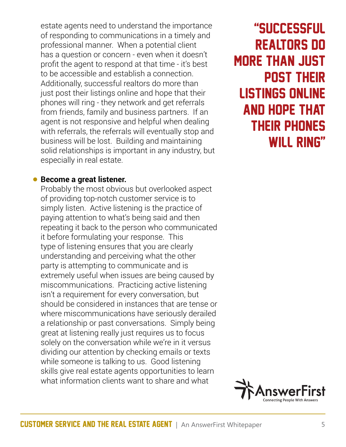estate agents need to understand the importance of responding to communications in a timely and professional manner. When a potential client has a question or concern - even when it doesn't profit the agent to respond at that time - it's best to be accessible and establish a connection. Additionally, successful realtors do more than just post their listings online and hope that their phones will ring - they network and get referrals from friends, family and business partners. If an agent is not responsive and helpful when dealing with referrals, the referrals will eventually stop and business will be lost. Building and maintaining solid relationships is important in any industry, but especially in real estate.

#### • **Become a great listener.**

Probably the most obvious but overlooked aspect of providing top-notch customer service is to simply listen. Active listening is the practice of paying attention to what's being said and then repeating it back to the person who communicated it before formulating your response. This type of listening ensures that you are clearly understanding and perceiving what the other party is attempting to communicate and is extremely useful when issues are being caused by miscommunications. Practicing active listening isn't a requirement for every conversation, but should be considered in instances that are tense or where miscommunications have seriously derailed a relationship or past conversations. Simply being great at listening really just requires us to focus solely on the conversation while we're in it versus dividing our attention by checking emails or texts while someone is talking to us. Good listening skills give real estate agents opportunities to learn what information clients want to share and what

"successful realtors do more than just post their listings online and hope that their phones WILL RING"